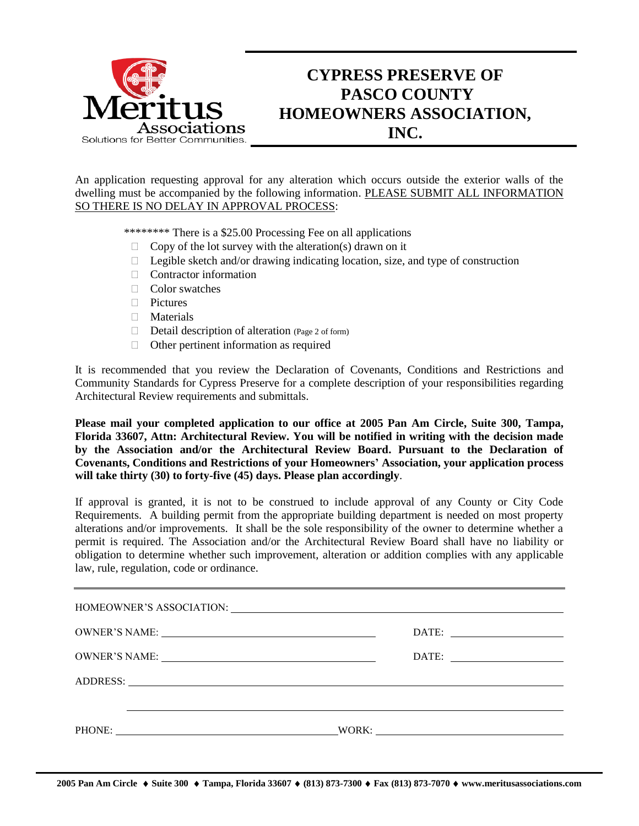

## **CYPRESS PRESERVE OF PASCO COUNTY HOMEOWNERS ASSOCIATION, INC.**

An application requesting approval for any alteration which occurs outside the exterior walls of the dwelling must be accompanied by the following information. PLEASE SUBMIT ALL INFORMATION SO THERE IS NO DELAY IN APPROVAL PROCESS:

\*\*\*\*\*\*\*\* There is a \$25.00 Processing Fee on all applications

- $\Box$  Copy of the lot survey with the alteration(s) drawn on it
- $\Box$  Legible sketch and/or drawing indicating location, size, and type of construction
- $\Box$  Contractor information
- □ Color swatches
- □ Pictures
- **Materials**
- $\Box$  Detail description of alteration (Page 2 of form)
- Other pertinent information as required

It is recommended that you review the Declaration of Covenants, Conditions and Restrictions and Community Standards for Cypress Preserve for a complete description of your responsibilities regarding Architectural Review requirements and submittals.

**Please mail your completed application to our office at 2005 Pan Am Circle, Suite 300, Tampa, Florida 33607, Attn: Architectural Review. You will be notified in writing with the decision made by the Association and/or the Architectural Review Board. Pursuant to the Declaration of Covenants, Conditions and Restrictions of your Homeowners' Association, your application process will take thirty (30) to forty-five (45) days. Please plan accordingly**.

If approval is granted, it is not to be construed to include approval of any County or City Code Requirements. A building permit from the appropriate building department is needed on most property alterations and/or improvements. It shall be the sole responsibility of the owner to determine whether a permit is required. The Association and/or the Architectural Review Board shall have no liability or obligation to determine whether such improvement, alteration or addition complies with any applicable law, rule, regulation, code or ordinance.

| OWNER'S NAME: NAME:                                                                                                                                                                                                            |  |
|--------------------------------------------------------------------------------------------------------------------------------------------------------------------------------------------------------------------------------|--|
| ADDRESS: New York Contract the Contract of the Contract of the Contract of the Contract of the Contract of the Contract of the Contract of the Contract of the Contract of the Contract of the Contract of the Contract of the |  |
|                                                                                                                                                                                                                                |  |
|                                                                                                                                                                                                                                |  |